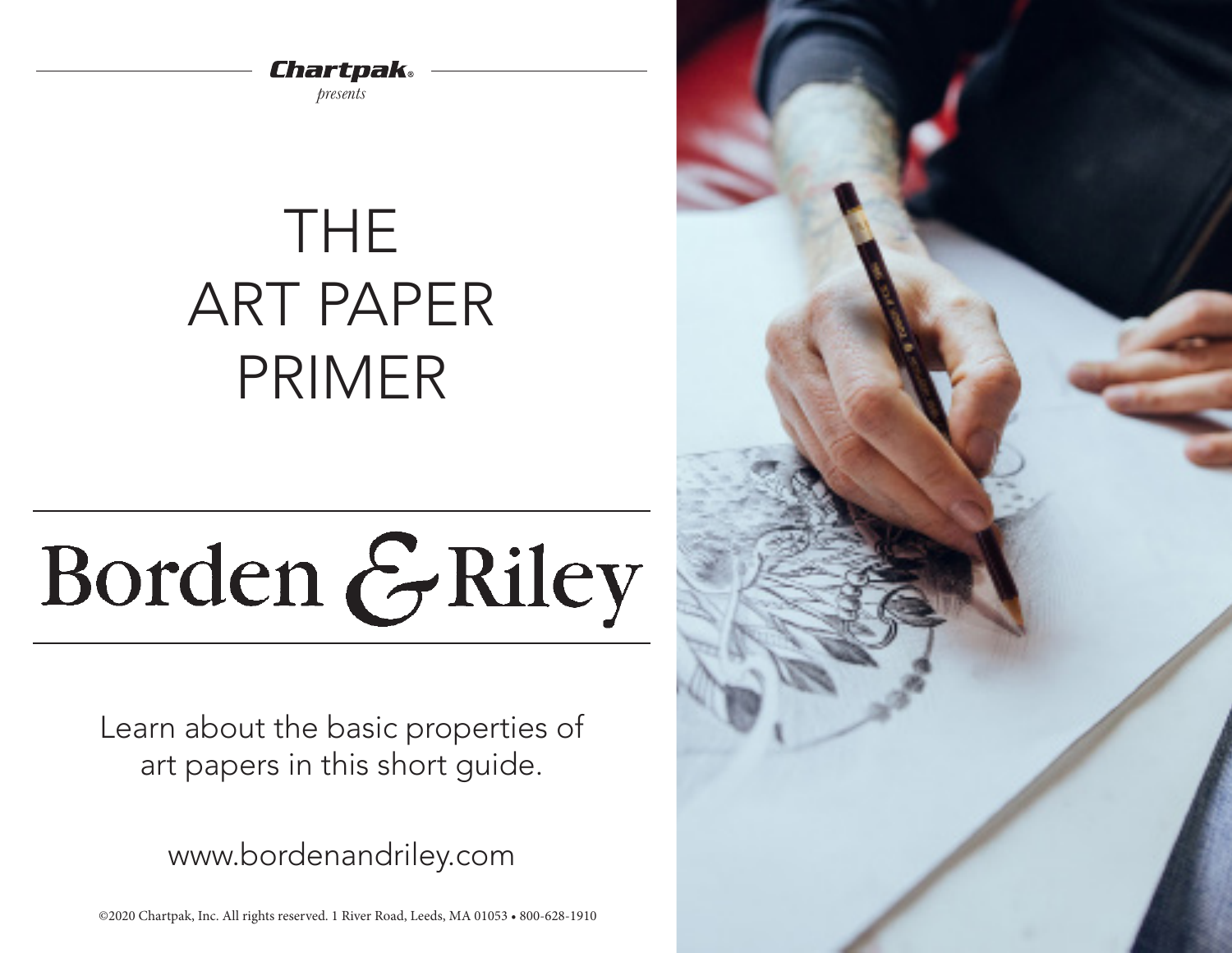Chartpak

*presents*

# THE ART PAPER PRIMER

# Borden & Riley

Learn about the basic properties of art papers in this short guide.

www.bordenandriley.com

©2020 Chartpak, Inc. All rights reserved. 1 River Road, Leeds, MA 01053 • 800-628-1910

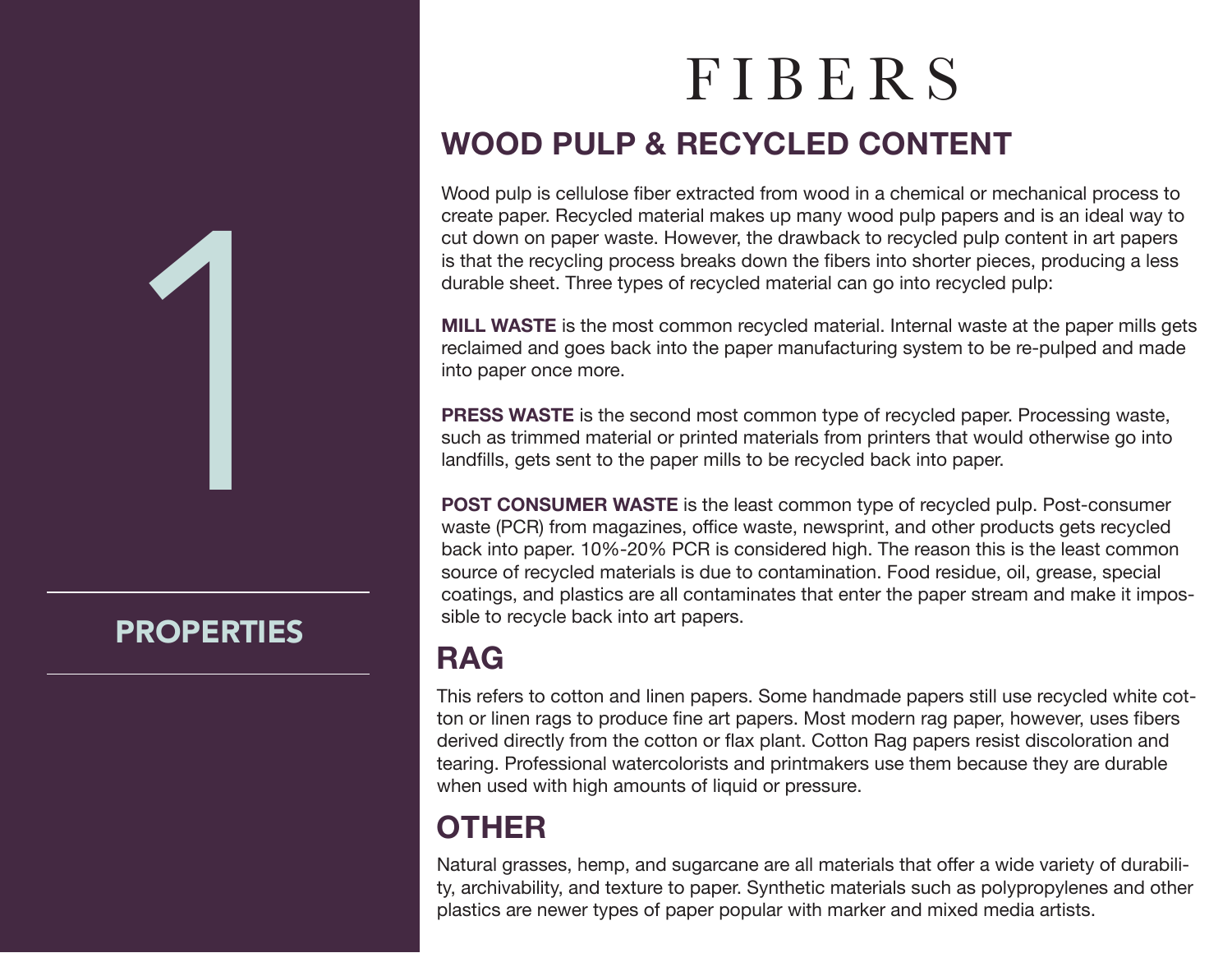# 1

# PROPERTIES

# FIBERS **WOOD PULP & RECYCLED CONTENT**

Wood pulp is cellulose fiber extracted from wood in a chemical or mechanical process to create paper. Recycled material makes up many wood pulp papers and is an ideal way to cut down on paper waste. However, the drawback to recycled pulp content in art papers is that the recycling process breaks down the fibers into shorter pieces, producing a less durable sheet. Three types of recycled material can go into recycled pulp:

**MILL WASTE** is the most common recycled material. Internal waste at the paper mills gets reclaimed and goes back into the paper manufacturing system to be re-pulped and made into paper once more.

**PRESS WASTE** is the second most common type of recycled paper. Processing waste, such as trimmed material or printed materials from printers that would otherwise go into landfills, gets sent to the paper mills to be recycled back into paper.

**POST CONSUMER WASTE** is the least common type of recycled pulp. Post-consumer waste (PCR) from magazines, office waste, newsprint, and other products gets recycled back into paper. 10%-20% PCR is considered high. The reason this is the least common source of recycled materials is due to contamination. Food residue, oil, grease, special coatings, and plastics are all contaminates that enter the paper stream and make it impossible to recycle back into art papers.

# **RAG**

This refers to cotton and linen papers. Some handmade papers still use recycled white cotton or linen rags to produce fine art papers. Most modern rag paper, however, uses fibers derived directly from the cotton or flax plant. Cotton Rag papers resist discoloration and tearing. Professional watercolorists and printmakers use them because they are durable when used with high amounts of liquid or pressure.

# **OTHER**

Natural grasses, hemp, and sugarcane are all materials that offer a wide variety of durability, archivability, and texture to paper. Synthetic materials such as polypropylenes and other plastics are newer types of paper popular with marker and mixed media artists.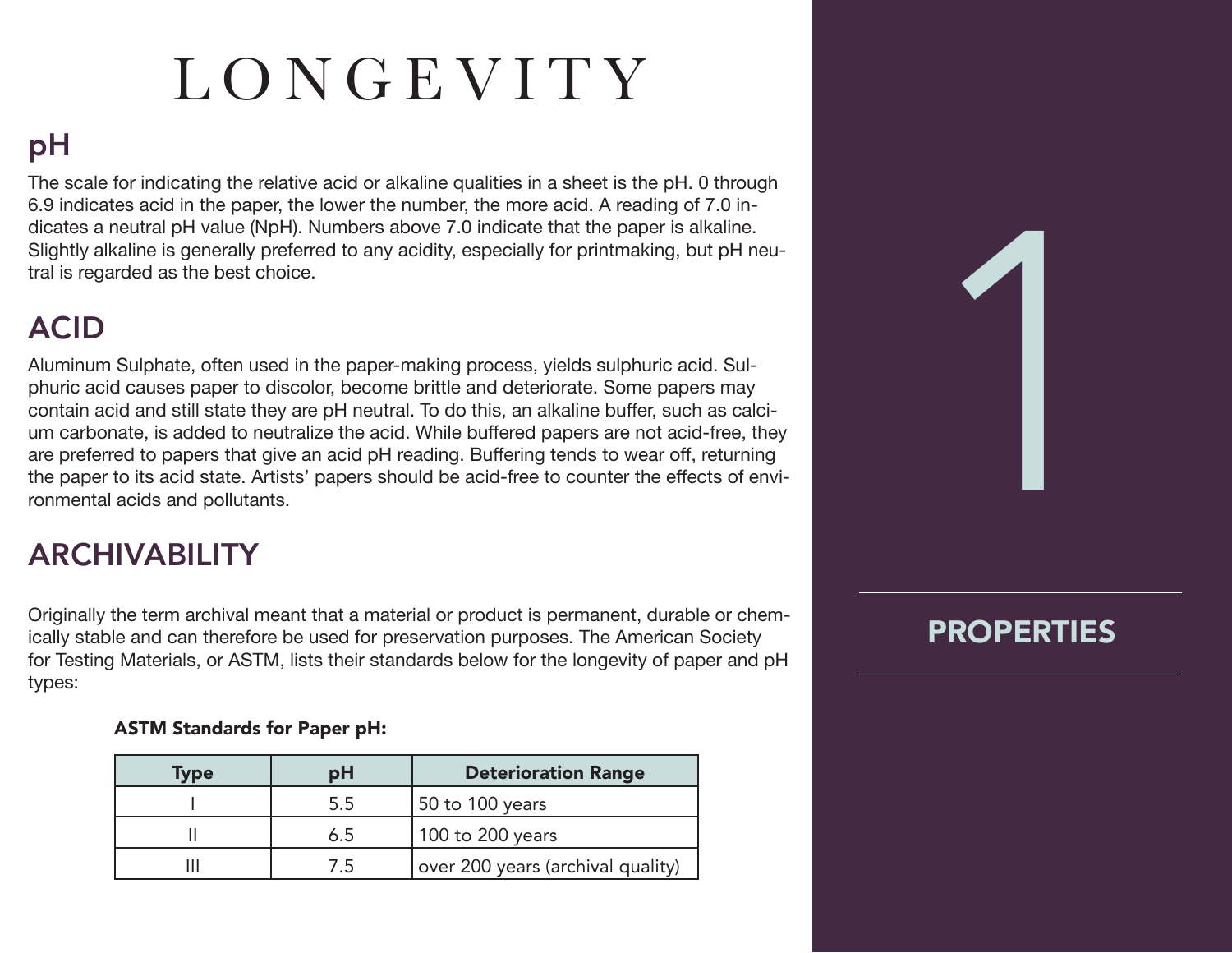# LONGEVITY

# pH

The scale for indicating the relative acid or alkaline qualities in a sheet is the pH. 0 through 6.9 indicates acid in the paper, the lower the number, the more acid. A reading of 7.0 indicates a neutral pH value (NpH). Numbers above 7.0 indicate that the paper is alkaline. Slightly alkaline is generally preferred to any acidity, especially for printmaking, but pH neutral is regarded as the best choice.

# ACID

Aluminum Sulphate, often used in the paper-making process, yields sulphuric acid. Sulphuric acid causes paper to discolor, become brittle and deteriorate. Some papers may contain acid and still state they are pH neutral. To do this, an alkaline buffer, such as calcium carbonate, is added to neutralize the acid. While buffered papers are not acid-free, they are preferred to papers that give an acid pH reading. Buffering tends to wear off, returning the paper to its acid state. Artists' papers should be acid-free to counter the effects of environmental acids and pollutants.

# ARCHIVABILITY

Originally the term archival meant that a material or product is permanent, durable or chemically stable and can therefore be used for preservation purposes. The American Society for Testing Materials, or ASTM, lists their standards below for the longevity of paper and pH types:

### ASTM Standards for Paper pH:

| Type | рH  | <b>Deterioration Range</b>        |
|------|-----|-----------------------------------|
|      | 5.5 | 50 to 100 years                   |
|      | 6.5 | 100 to 200 years                  |
|      | 7.5 | over 200 years (archival quality) |

## PROPERTIES

1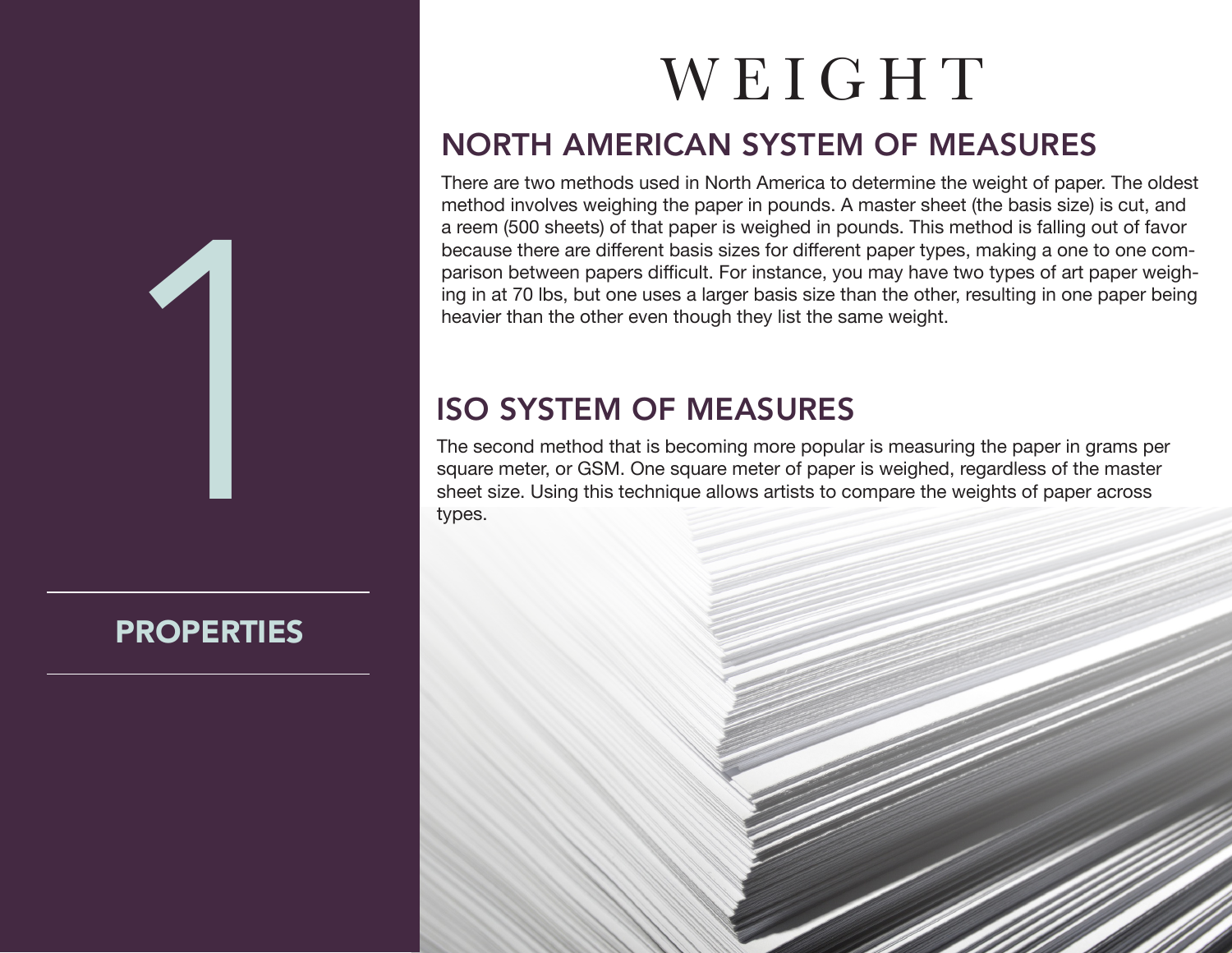

# **PROPERTIES**

# WEIGHT

# NORTH AMERICAN SYSTEM OF MEASURES

There are two methods used in North America to determine the weight of paper. The oldest method involves weighing the paper in pounds. A master sheet (the basis size) is cut, and a reem (500 sheets) of that paper is weighed in pounds. This method is falling out of favor because there are different basis sizes for different paper types, making a one to one comparison between papers difficult. For instance, you may have two types of art paper weighing in at 70 lbs, but one uses a larger basis size than the other, resulting in one paper being heavier than the other even though they list the same weight.

# ISO SYSTEM OF MEASURES

The second method that is becoming more popular is measuring the paper in grams per square meter, or GSM. One square meter of paper is weighed, regardless of the master sheet size. Using this technique allows artists to compare the weights of paper across types.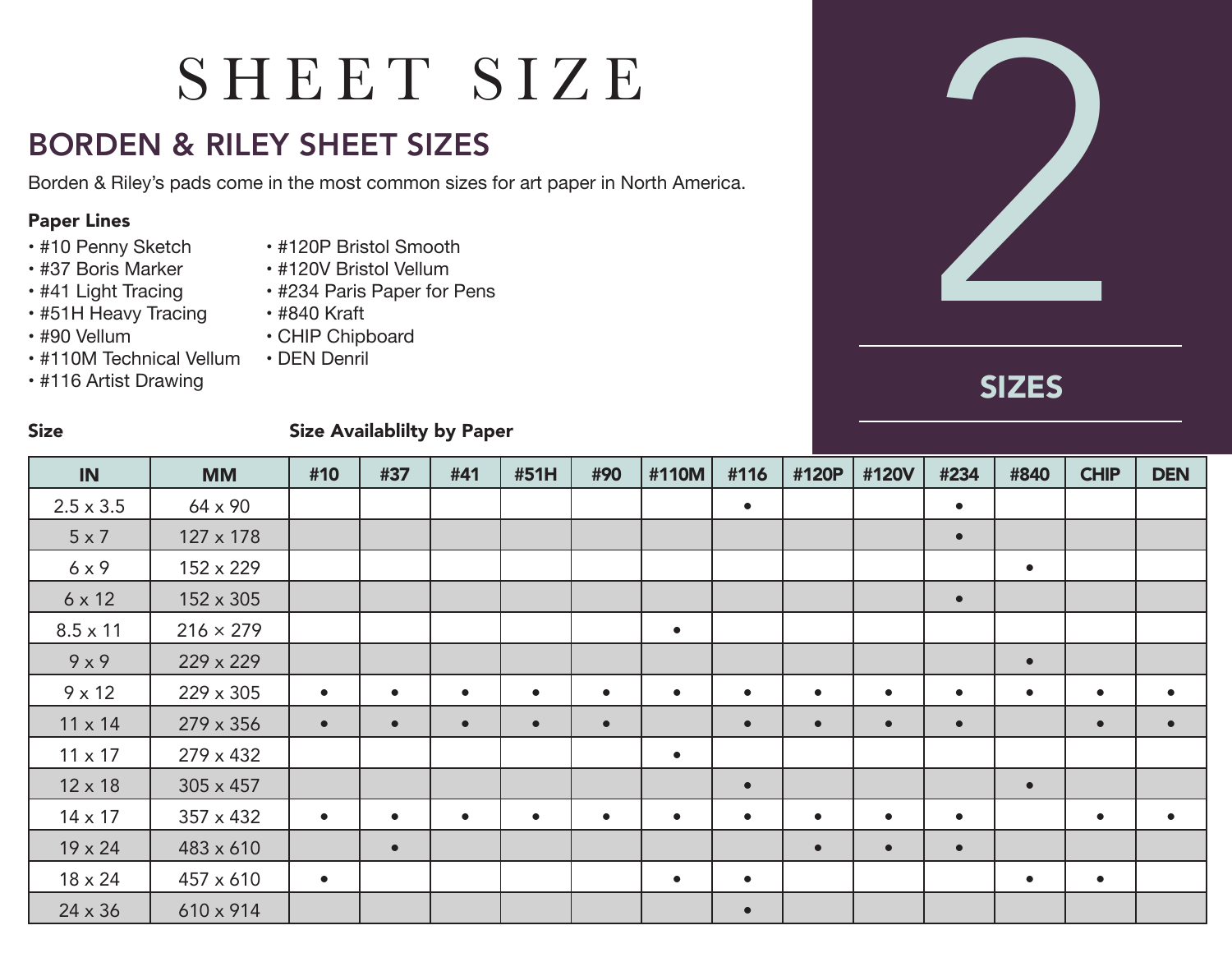# SHEET SIZE

# BORDEN & RILEY SHEET SIZES

### Paper Lines

- #10 Penny Sketch
- #37 Boris Marker
- #41 Light Tracing
- #51H Heavy Tracing
- #90 Vellum
- #110M Technical Vellum
- #116 Artist Drawing
- #120P Bristol Smooth
- #120V Bristol Vellum
- #234 Paris Paper for Pens
- #840 Kraft
- CHIP Chipboard
- DEN Denril

# SIZES

### Size Size Availablilty by Paper

| IN               | <b>MM</b>        | #10       | #37       | #41       | #51H      | #90       | #110M     | #116      | #120P     | #120V     | #234      | #840      | <b>CHIP</b> | <b>DEN</b> |
|------------------|------------------|-----------|-----------|-----------|-----------|-----------|-----------|-----------|-----------|-----------|-----------|-----------|-------------|------------|
| $2.5 \times 3.5$ | 64 x 90          |           |           |           |           |           |           | $\bullet$ |           |           | $\bullet$ |           |             |            |
| $5 \times 7$     | $127 \times 178$ |           |           |           |           |           |           |           |           |           | $\bullet$ |           |             |            |
| 6x9              | 152 x 229        |           |           |           |           |           |           |           |           |           |           | $\bullet$ |             |            |
| $6 \times 12$    | 152 x 305        |           |           |           |           |           |           |           |           |           | $\bullet$ |           |             |            |
| $8.5 \times 11$  | $216 \times 279$ |           |           |           |           |           | $\bullet$ |           |           |           |           |           |             |            |
| 9x9              | 229 x 229        |           |           |           |           |           |           |           |           |           |           | $\bullet$ |             |            |
| $9 \times 12$    | 229 x 305        | $\bullet$ | $\bullet$ | $\bullet$ | $\bullet$ | $\bullet$ | $\bullet$ | $\bullet$ | $\bullet$ | $\bullet$ | $\bullet$ | $\bullet$ | $\bullet$   | $\bullet$  |
| $11 \times 14$   | 279 x 356        | $\bullet$ | $\bullet$ | $\bullet$ | $\bullet$ | $\bullet$ |           | $\bullet$ | $\bullet$ | $\bullet$ | $\bullet$ |           | $\bullet$   | $\bullet$  |
| $11 \times 17$   | 279 x 432        |           |           |           |           |           | $\bullet$ |           |           |           |           |           |             |            |
| $12 \times 18$   | $305 \times 457$ |           |           |           |           |           |           | $\bullet$ |           |           |           | $\bullet$ |             |            |
| $14 \times 17$   | 357 x 432        | $\bullet$ | $\bullet$ | $\bullet$ | $\bullet$ | $\bullet$ | $\bullet$ | $\bullet$ | $\bullet$ | $\bullet$ | $\bullet$ |           | $\bullet$   | $\bullet$  |
| $19 \times 24$   | 483 x 610        |           | $\bullet$ |           |           |           |           |           | $\bullet$ | $\bullet$ | $\bullet$ |           |             |            |
| 18 x 24          | 457 x 610        | $\bullet$ |           |           |           |           | $\bullet$ | $\bullet$ |           |           |           | $\bullet$ | $\bullet$   |            |
| $24 \times 36$   | 610 x 914        |           |           |           |           |           |           | $\bullet$ |           |           |           |           |             |            |

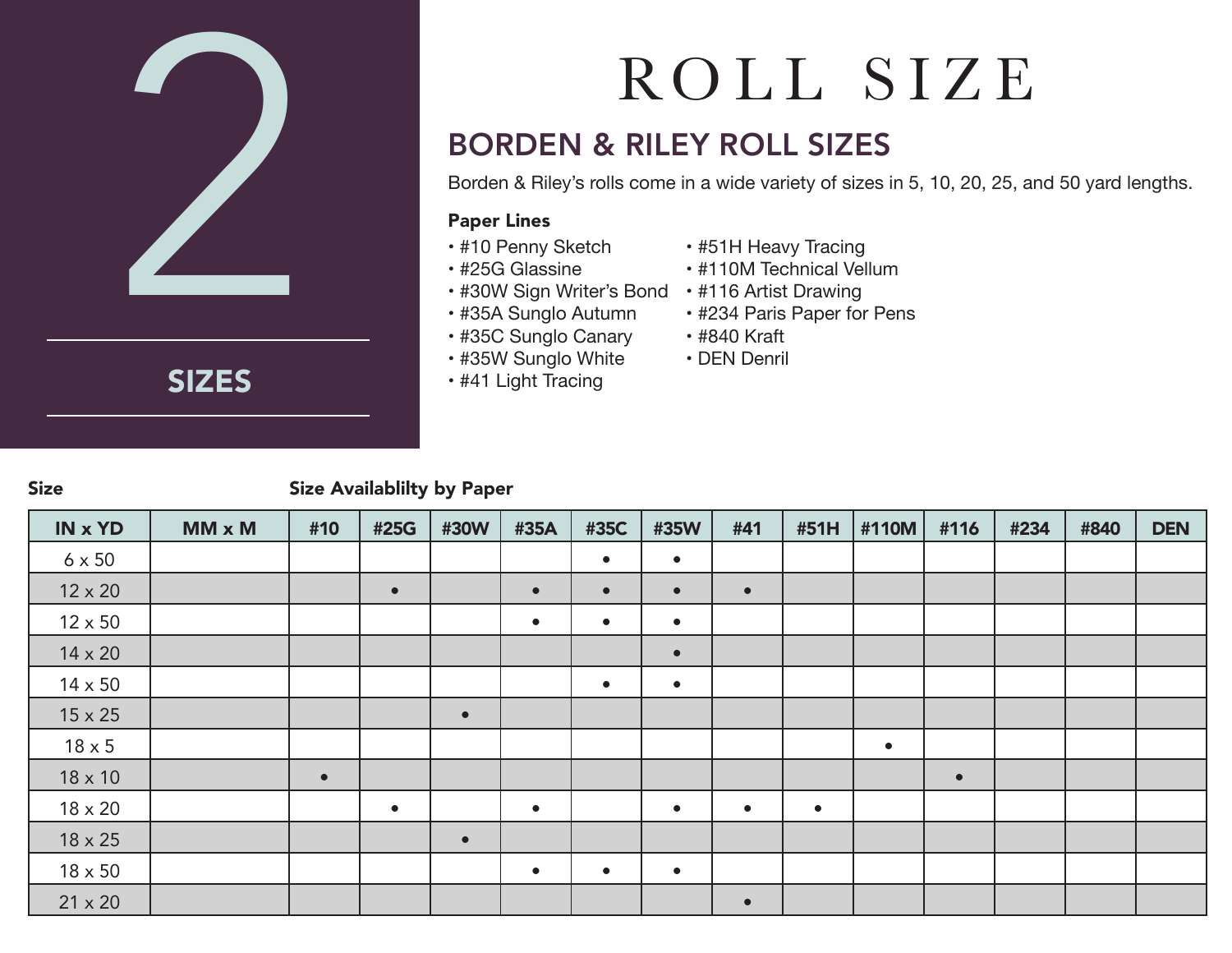

SIZES

# ROLL SIZE

# BORDEN & RILEY ROLL SIZES

Borden & Riley's rolls come in a wide variety of sizes in 5, 10, 20, 25, and 50 yard lengths.

### Paper Lines

- #10 Penny Sketch
- #25G Glassine
- #30W Sign Writer's Bond #116 Artist Drawing
- #35A Sunglo Autumn
- #35C Sunglo Canary
- #35W Sunglo White
- #41 Light Tracing
- #51H Heavy Tracing
- #110M Technical Vellum
- 
- #234 Paris Paper for Pens
- #840 Kraft
- DEN Denril

### Size Size Availablilty by Paper

| <b>IN x YD</b> | $MM \times M$ | #10       | #25G      | #30W      | #35A      | #35C      | #35W      | #41       | #51H      | #110M     | #116      | #234 | #840 | <b>DEN</b> |
|----------------|---------------|-----------|-----------|-----------|-----------|-----------|-----------|-----------|-----------|-----------|-----------|------|------|------------|
| $6 \times 50$  |               |           |           |           |           | $\bullet$ | $\bullet$ |           |           |           |           |      |      |            |
| $12 \times 20$ |               |           | $\bullet$ |           | $\bullet$ | $\bullet$ | $\bullet$ | $\bullet$ |           |           |           |      |      |            |
| $12 \times 50$ |               |           |           |           | $\bullet$ | $\bullet$ | $\bullet$ |           |           |           |           |      |      |            |
| $14 \times 20$ |               |           |           |           |           |           | $\bullet$ |           |           |           |           |      |      |            |
| 14 x 50        |               |           |           |           |           | $\bullet$ | $\bullet$ |           |           |           |           |      |      |            |
| $15 \times 25$ |               |           |           | $\bullet$ |           |           |           |           |           |           |           |      |      |            |
| $18 \times 5$  |               |           |           |           |           |           |           |           |           | $\bullet$ |           |      |      |            |
| $18 \times 10$ |               | $\bullet$ |           |           |           |           |           |           |           |           | $\bullet$ |      |      |            |
| $18 \times 20$ |               |           | $\bullet$ |           | $\bullet$ |           | $\bullet$ | $\bullet$ | $\bullet$ |           |           |      |      |            |
| $18 \times 25$ |               |           |           | $\bullet$ |           |           |           |           |           |           |           |      |      |            |
| $18 \times 50$ |               |           |           |           | $\bullet$ | $\bullet$ | $\bullet$ |           |           |           |           |      |      |            |
| $21 \times 20$ |               |           |           |           |           |           |           | $\bullet$ |           |           |           |      |      |            |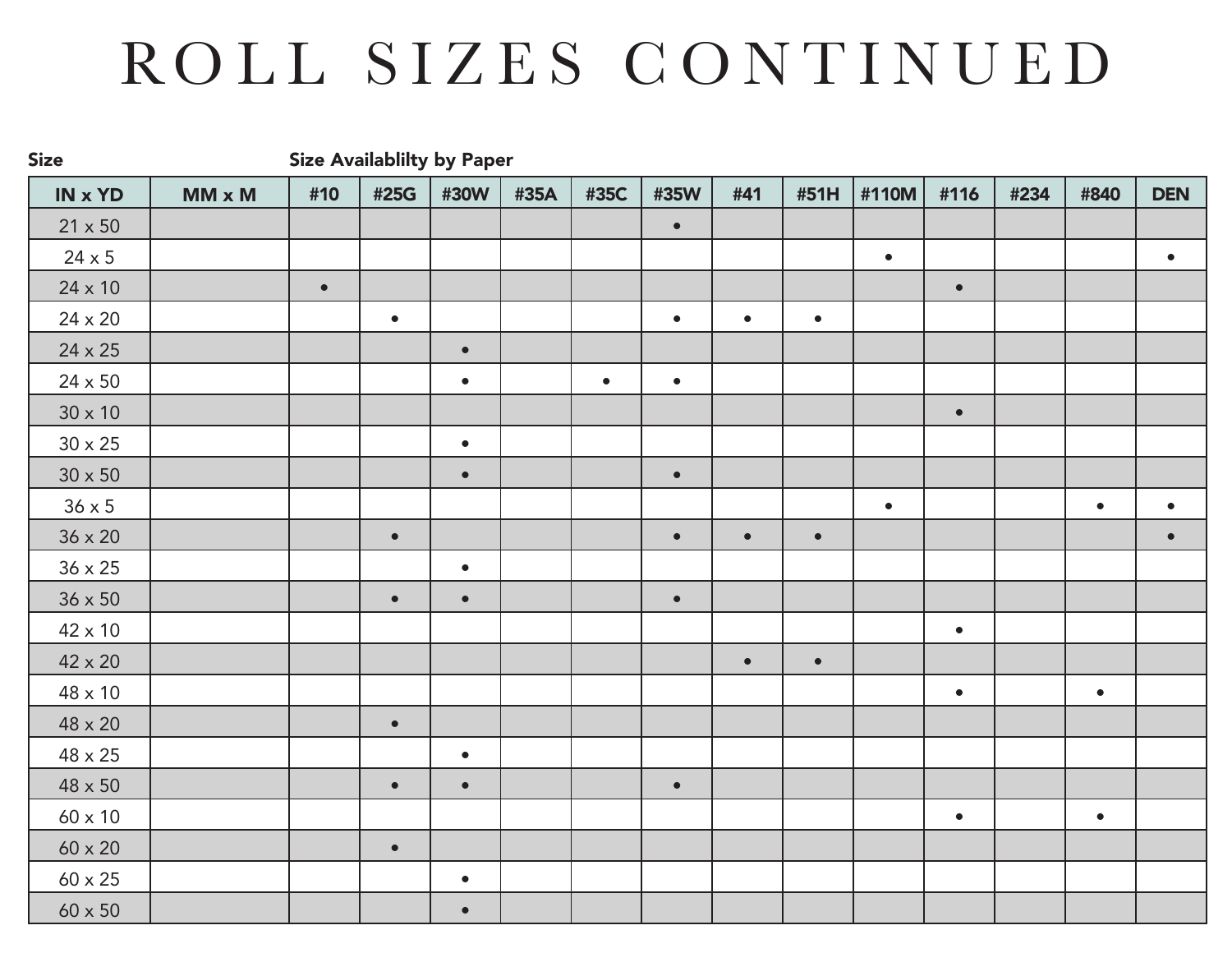# ROLL SIZES CONTINUED

IN x YD | MM x M | #10 | #25G | #30W | #35A | #35C | #35W | #41 | #51H |#110M| #116 | #234 | #840 | DEN  $21 \times 50$  **• 1 1 1 1 1 1 1 1** 24 x 5 • • 24 x 10 • • 24 x 20 • • • •  $24 \times 25$   $\qquad \qquad$   $\qquad$   $\qquad$ 24 x 50 • • • 30 x 10 •  $30 \times 25$   $\qquad \qquad$   $\qquad$ 30 x 50 • • 36 x 5 • • • 36 x 20 • • • • •  $36 \times 25$   $\qquad \qquad$   $\qquad$ 36 x 50 • • • 42 x 10 • 42 x 20 • • 48 x 10 • •  $48 \times 20$   $\left\lfloor \cdots \right\rfloor$   $\left\lfloor \cdots \right\rfloor$ 48 x 25 • 48 x 50 • • • 60 x 10 • •  $60 \times 20$   $\left\vert \begin{array}{ccc} \bullet & \bullet & \bullet \\ \bullet & \bullet & \bullet \end{array} \right\vert$  $60 \times 25$   $\phantom{00}$   $\phantom{00}$   $\phantom{00}$   $\phantom{00}$   $\phantom{00}$  $60 \times 50$   $\left| \begin{array}{ccc} \end{array} \right|$   $\left| \begin{array}{ccc} \end{array} \right|$   $\left| \begin{array}{ccc} \end{array} \right|$ Size Size Availablilty by Paper